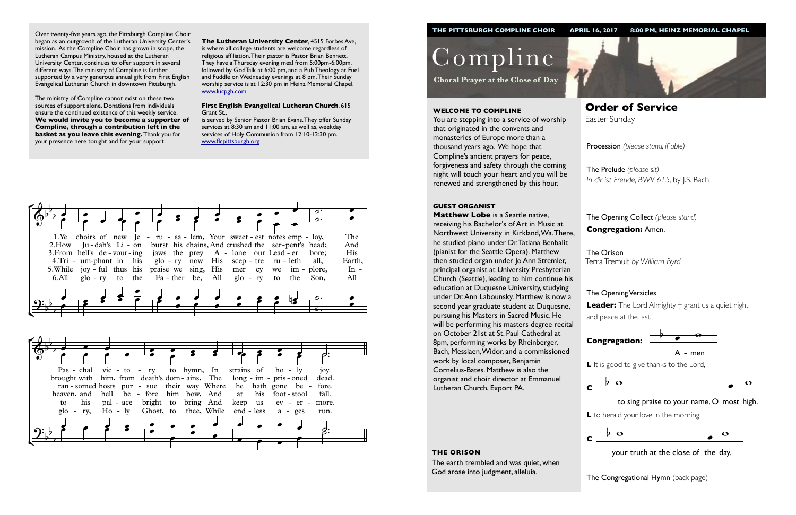Procession *(please stand, if able)*

The Opening Collect *(please stand)* **Congregation:** Amen.

## The Opening Versicles

**L** to herald your love in the morning,  $\ddot{\phantom{0}}$ 



 $\frac{1}{2}$  your truth at the close of the day.

**The Congregational Hymn** (back page)

**Leader:** The Lord Almighty † grant us a quiet night and peace at the last.



Compline

**Choral Prayer at the Close of Day**

**Order of Service**  Easter Sunday

#### **WELCOME TO COMPLINE**

You are stepping into a service of worship that originated in the convents and monasteries of Europe more than a thousand years ago. We hope that Compline's ancient prayers for peace, forgiveness and safety through the coming night will touch your heart and you will be renewed and strengthened by this hour.

#### **GUEST ORGANIST**

**Matthew Lobe** is a Seattle native, receiving his Bachelor's of Art in Music at Northwest University in Kirkland, Wa. There, he studied piano under Dr. Tatiana Benbalit (pianist for the Seattle Opera). Matthew then studied organ under Jo Ann Stremler, principal organist at University Presbyterian Church (Seattle), leading to him continue his education at Duquesne University, studying under Dr. Ann Labounsky. Matthew is now a second year graduate student at Duquesne, pursuing his Masters in Sacred Music. He will be performing his masters degree recital on October 21st at St. Paul Cathedral at 8pm, performing works by Rheinberger, Bach, Messiaen, Widor, and a commissioned work by local composer, Benjamin Cornelius-Bates. Matthew is also the organist and choir director at Emmanuel Lutheran Church, Export PA.

The Prelude *(please sit) In dir ist Freude, BWV 615,* by J.S. Bach

The Orison Terra Tremuit *by William Byrd*





#### **THE ORISON**

The earth trembled and was quiet, when God arose into judgment, alleluia.

Over twenty-five years ago, the Pittsburgh Compline Choir began as an outgrowth of the Lutheran University Center's mission. As the Compline Choir has grown in scope, the Lutheran Campus Ministry, housed at the Lutheran University Center, continues to offer support in several different ways. The ministry of Compline is further supported by a very generous annual gift from First English Evangelical Lutheran Church in downtown Pittsburgh.

The ministry of Compline cannot exist on these two sources of support alone. Donations from individuals ensure the continued existence of this weekly service. **We would invite you to become a supporter of Compline, through a contribution left in the basket as you leave this evening.** Thank you for your presence here tonight and for your support.



L It is good to give thanks to the Lord,



**The Lutheran University Center**, 4515 Forbes Ave, is where all college students are welcome regardless of religious affiliation. Their pastor is Pastor Brian Bennett. They have a Thursday evening meal from 5:00pm-6:00pm, followed by GodTalk at 6:00 pm, and a Pub Theology at Fuel and Fuddle on Wednesday evenings at 8 pm. Their Sunday worship service is at 12:30 pm in Heinz Memorial Chapel. [www.lucpgh.com](http://www.lucpgh.com)

#### **First English Evangelical Lutheran Church**, 615 Grant St.,

is served by Senior Pastor Brian Evans. They offer Sunday services at 8:30 am and 11:00 am, as well as, weekday services of Holy Communion from 12:10-12:30 pm. [www.flcpittsburgh.org](http://www.flcpittsburgh.org)